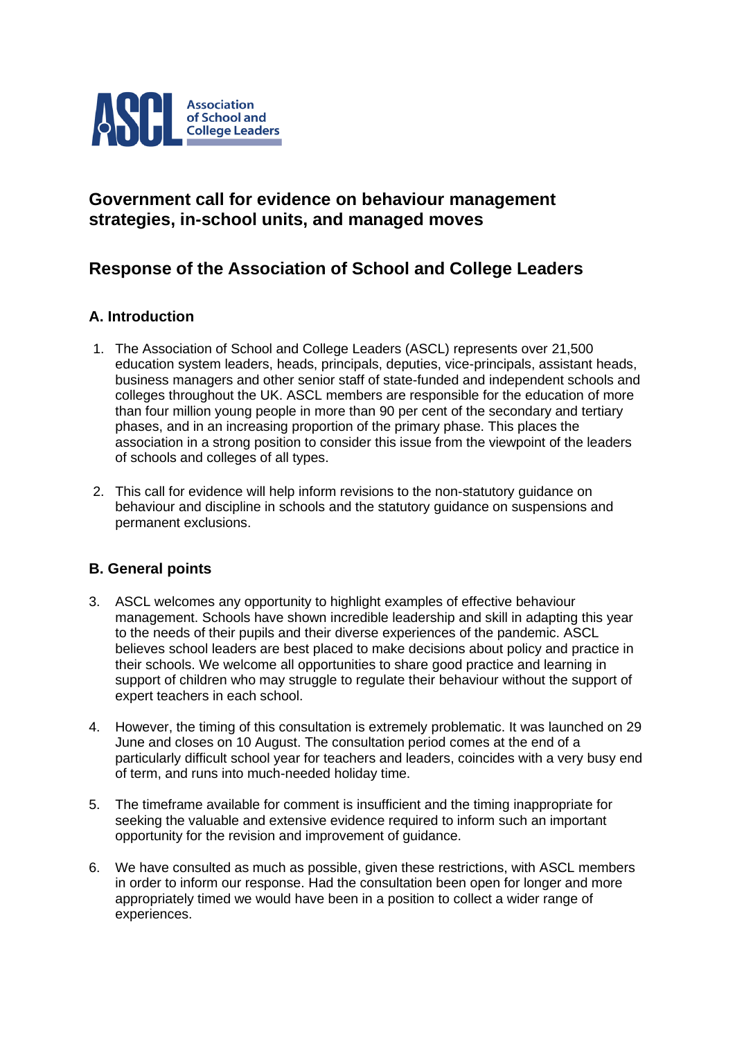

# **Government call for evidence on behaviour management strategies, in-school units, and managed moves**

# **Response of the Association of School and College Leaders**

# **A. Introduction**

- 1. The Association of School and College Leaders (ASCL) represents over 21,500 education system leaders, heads, principals, deputies, vice-principals, assistant heads, business managers and other senior staff of state-funded and independent schools and colleges throughout the UK. ASCL members are responsible for the education of more than four million young people in more than 90 per cent of the secondary and tertiary phases, and in an increasing proportion of the primary phase. This places the association in a strong position to consider this issue from the viewpoint of the leaders of schools and colleges of all types.
- 2. This call for evidence will help inform revisions to the non-statutory guidance on behaviour and discipline in schools and the statutory guidance on suspensions and permanent exclusions.

# **B. General points**

- 3. ASCL welcomes any opportunity to highlight examples of effective behaviour management. Schools have shown incredible leadership and skill in adapting this year to the needs of their pupils and their diverse experiences of the pandemic. ASCL believes school leaders are best placed to make decisions about policy and practice in their schools. We welcome all opportunities to share good practice and learning in support of children who may struggle to regulate their behaviour without the support of expert teachers in each school.
- 4. However, the timing of this consultation is extremely problematic. It was launched on 29 June and closes on 10 August. The consultation period comes at the end of a particularly difficult school year for teachers and leaders, coincides with a very busy end of term, and runs into much-needed holiday time.
- 5. The timeframe available for comment is insufficient and the timing inappropriate for seeking the valuable and extensive evidence required to inform such an important opportunity for the revision and improvement of guidance.
- 6. We have consulted as much as possible, given these restrictions, with ASCL members in order to inform our response. Had the consultation been open for longer and more appropriately timed we would have been in a position to collect a wider range of experiences.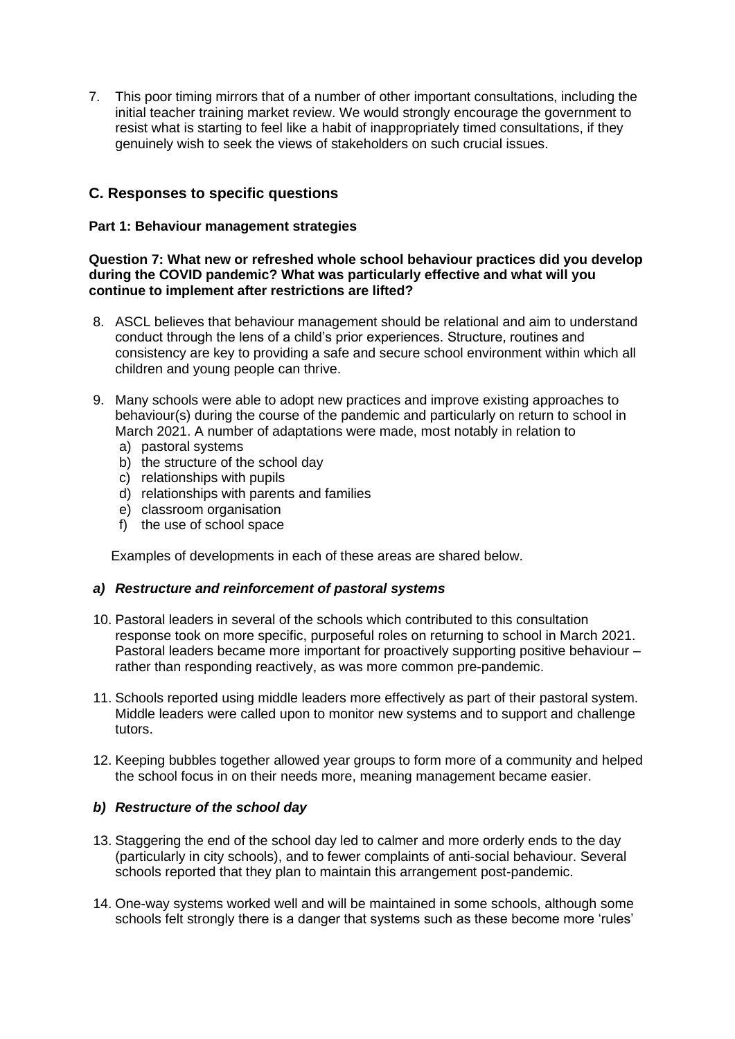7. This poor timing mirrors that of a number of other important consultations, including the initial teacher training market review. We would strongly encourage the government to resist what is starting to feel like a habit of inappropriately timed consultations, if they genuinely wish to seek the views of stakeholders on such crucial issues.

# **C. Responses to specific questions**

# **Part 1: Behaviour management strategies**

#### **Question 7: What new or refreshed whole school behaviour practices did you develop during the COVID pandemic? What was particularly effective and what will you continue to implement after restrictions are lifted?**

- 8. ASCL believes that behaviour management should be relational and aim to understand conduct through the lens of a child's prior experiences. Structure, routines and consistency are key to providing a safe and secure school environment within which all children and young people can thrive.
- 9. Many schools were able to adopt new practices and improve existing approaches to behaviour(s) during the course of the pandemic and particularly on return to school in March 2021. A number of adaptations were made, most notably in relation to
	- a) pastoral systems
	- b) the structure of the school day
	- c) relationships with pupils
	- d) relationships with parents and families
	- e) classroom organisation
	- f) the use of school space

Examples of developments in each of these areas are shared below.

## *a) Restructure and reinforcement of pastoral systems*

- 10. Pastoral leaders in several of the schools which contributed to this consultation response took on more specific, purposeful roles on returning to school in March 2021. Pastoral leaders became more important for proactively supporting positive behaviour – rather than responding reactively, as was more common pre-pandemic.
- 11. Schools reported using middle leaders more effectively as part of their pastoral system. Middle leaders were called upon to monitor new systems and to support and challenge tutors.
- 12. Keeping bubbles together allowed year groups to form more of a community and helped the school focus in on their needs more, meaning management became easier.

## *b) Restructure of the school day*

- 13. Staggering the end of the school day led to calmer and more orderly ends to the day (particularly in city schools), and to fewer complaints of anti-social behaviour. Several schools reported that they plan to maintain this arrangement post-pandemic.
- 14. One-way systems worked well and will be maintained in some schools, although some schools felt strongly there is a danger that systems such as these become more 'rules'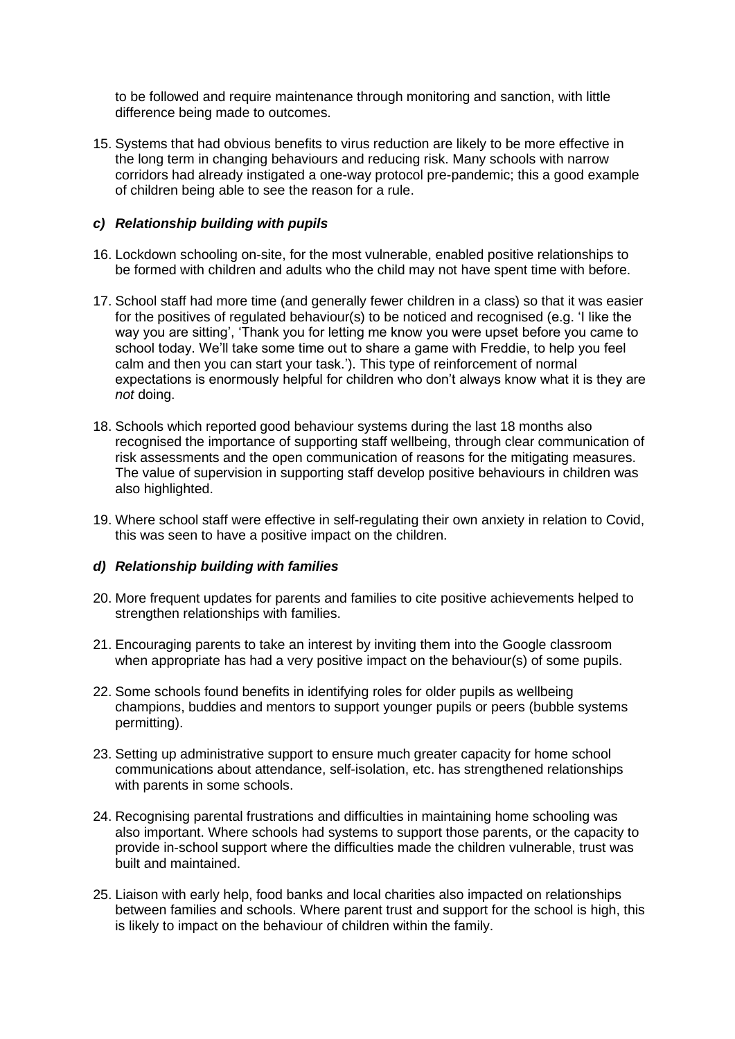to be followed and require maintenance through monitoring and sanction, with little difference being made to outcomes.

15. Systems that had obvious benefits to virus reduction are likely to be more effective in the long term in changing behaviours and reducing risk. Many schools with narrow corridors had already instigated a one-way protocol pre-pandemic; this a good example of children being able to see the reason for a rule.

## *c) Relationship building with pupils*

- 16. Lockdown schooling on-site, for the most vulnerable, enabled positive relationships to be formed with children and adults who the child may not have spent time with before.
- 17. School staff had more time (and generally fewer children in a class) so that it was easier for the positives of regulated behaviour(s) to be noticed and recognised (e.g. 'I like the way you are sitting', 'Thank you for letting me know you were upset before you came to school today. We'll take some time out to share a game with Freddie, to help you feel calm and then you can start your task.'). This type of reinforcement of normal expectations is enormously helpful for children who don't always know what it is they are *not* doing.
- 18. Schools which reported good behaviour systems during the last 18 months also recognised the importance of supporting staff wellbeing, through clear communication of risk assessments and the open communication of reasons for the mitigating measures. The value of supervision in supporting staff develop positive behaviours in children was also highlighted.
- 19. Where school staff were effective in self-regulating their own anxiety in relation to Covid, this was seen to have a positive impact on the children.

#### *d) Relationship building with families*

- 20. More frequent updates for parents and families to cite positive achievements helped to strengthen relationships with families.
- 21. Encouraging parents to take an interest by inviting them into the Google classroom when appropriate has had a very positive impact on the behaviour(s) of some pupils.
- 22. Some schools found benefits in identifying roles for older pupils as wellbeing champions, buddies and mentors to support younger pupils or peers (bubble systems permitting).
- 23. Setting up administrative support to ensure much greater capacity for home school communications about attendance, self-isolation, etc. has strengthened relationships with parents in some schools.
- 24. Recognising parental frustrations and difficulties in maintaining home schooling was also important. Where schools had systems to support those parents, or the capacity to provide in-school support where the difficulties made the children vulnerable, trust was built and maintained.
- 25. Liaison with early help, food banks and local charities also impacted on relationships between families and schools. Where parent trust and support for the school is high, this is likely to impact on the behaviour of children within the family.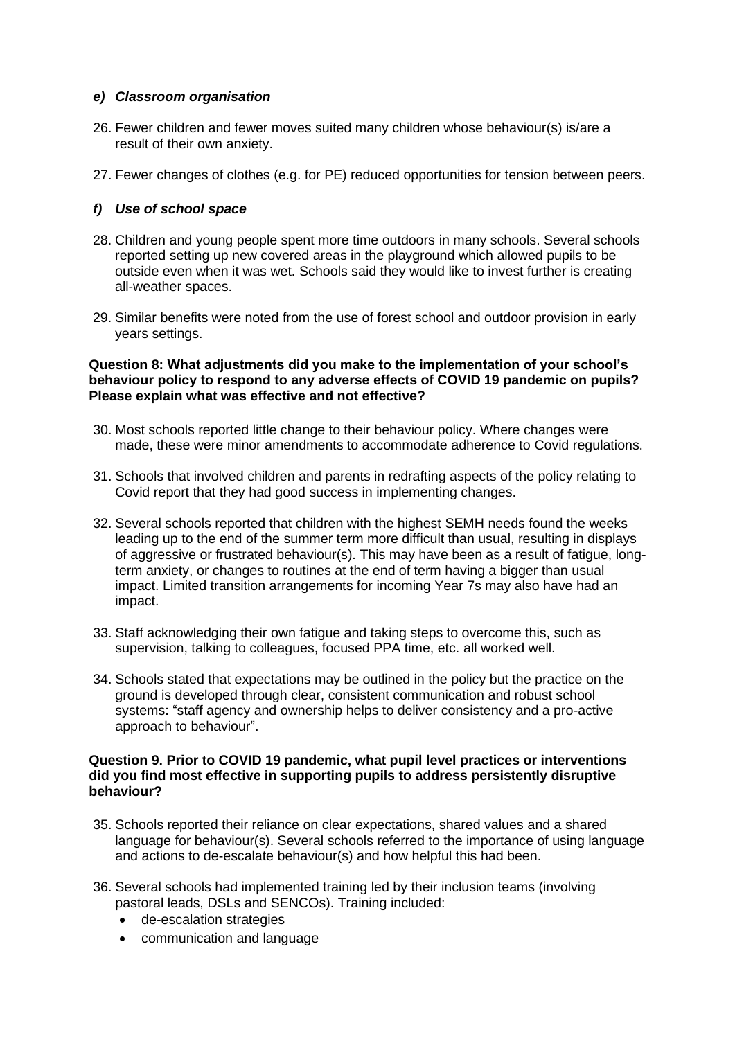#### *e) Classroom organisation*

- 26. Fewer children and fewer moves suited many children whose behaviour(s) is/are a result of their own anxiety.
- 27. Fewer changes of clothes (e.g. for PE) reduced opportunities for tension between peers.

# *f) Use of school space*

- 28. Children and young people spent more time outdoors in many schools. Several schools reported setting up new covered areas in the playground which allowed pupils to be outside even when it was wet. Schools said they would like to invest further is creating all-weather spaces.
- 29. Similar benefits were noted from the use of forest school and outdoor provision in early years settings.

#### **Question 8: What adjustments did you make to the implementation of your school's behaviour policy to respond to any adverse effects of COVID 19 pandemic on pupils? Please explain what was effective and not effective?**

- 30. Most schools reported little change to their behaviour policy. Where changes were made, these were minor amendments to accommodate adherence to Covid regulations.
- 31. Schools that involved children and parents in redrafting aspects of the policy relating to Covid report that they had good success in implementing changes.
- 32. Several schools reported that children with the highest SEMH needs found the weeks leading up to the end of the summer term more difficult than usual, resulting in displays of aggressive or frustrated behaviour(s). This may have been as a result of fatigue, longterm anxiety, or changes to routines at the end of term having a bigger than usual impact. Limited transition arrangements for incoming Year 7s may also have had an impact.
- 33. Staff acknowledging their own fatigue and taking steps to overcome this, such as supervision, talking to colleagues, focused PPA time, etc. all worked well.
- 34. Schools stated that expectations may be outlined in the policy but the practice on the ground is developed through clear, consistent communication and robust school systems: "staff agency and ownership helps to deliver consistency and a pro-active approach to behaviour".

#### **Question 9. Prior to COVID 19 pandemic, what pupil level practices or interventions did you find most effective in supporting pupils to address persistently disruptive behaviour?**

- 35. Schools reported their reliance on clear expectations, shared values and a shared language for behaviour(s). Several schools referred to the importance of using language and actions to de-escalate behaviour(s) and how helpful this had been.
- 36. Several schools had implemented training led by their inclusion teams (involving pastoral leads, DSLs and SENCOs). Training included:
	- de-escalation strategies
	- communication and language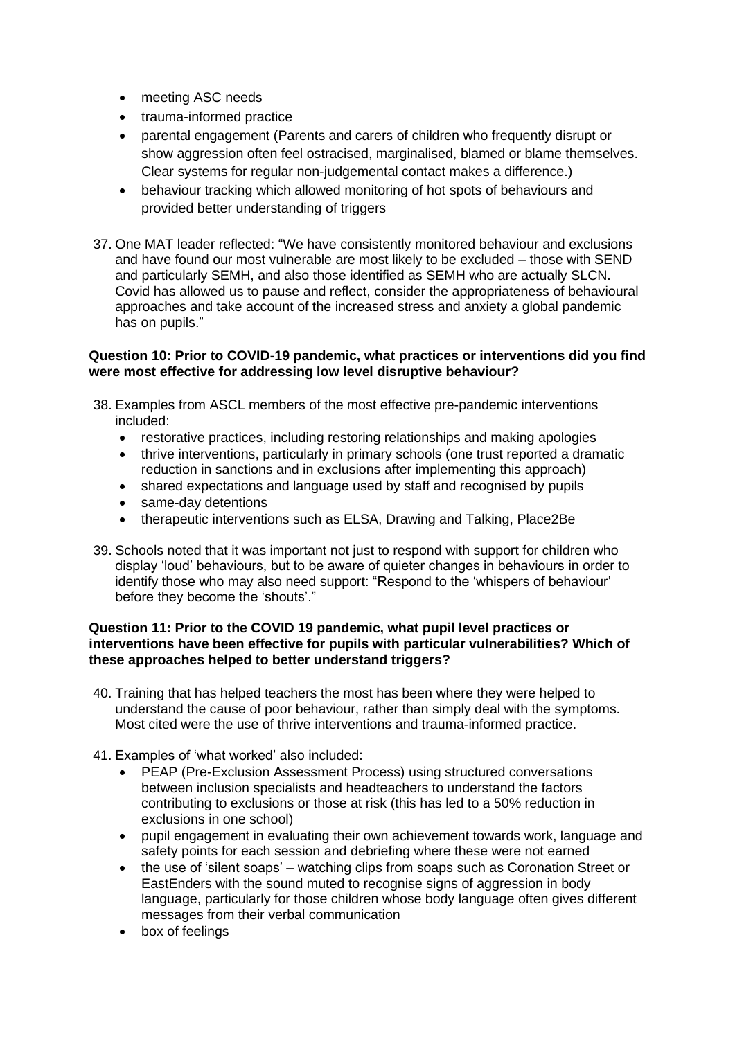- meeting ASC needs
- trauma-informed practice
- parental engagement (Parents and carers of children who frequently disrupt or show aggression often feel ostracised, marginalised, blamed or blame themselves. Clear systems for regular non-judgemental contact makes a difference.)
- behaviour tracking which allowed monitoring of hot spots of behaviours and provided better understanding of triggers
- 37. One MAT leader reflected: "We have consistently monitored behaviour and exclusions and have found our most vulnerable are most likely to be excluded – those with SEND and particularly SEMH, and also those identified as SEMH who are actually SLCN. Covid has allowed us to pause and reflect, consider the appropriateness of behavioural approaches and take account of the increased stress and anxiety a global pandemic has on pupils."

## **Question 10: Prior to COVID-19 pandemic, what practices or interventions did you find were most effective for addressing low level disruptive behaviour?**

- 38. Examples from ASCL members of the most effective pre-pandemic interventions included:
	- restorative practices, including restoring relationships and making apologies
	- thrive interventions, particularly in primary schools (one trust reported a dramatic reduction in sanctions and in exclusions after implementing this approach)
	- shared expectations and language used by staff and recognised by pupils
	- same-day detentions
	- therapeutic interventions such as ELSA, Drawing and Talking, Place2Be
- 39. Schools noted that it was important not just to respond with support for children who display 'loud' behaviours, but to be aware of quieter changes in behaviours in order to identify those who may also need support: "Respond to the 'whispers of behaviour' before they become the 'shouts'."

#### **Question 11: Prior to the COVID 19 pandemic, what pupil level practices or interventions have been effective for pupils with particular vulnerabilities? Which of these approaches helped to better understand triggers?**

- 40. Training that has helped teachers the most has been where they were helped to understand the cause of poor behaviour, rather than simply deal with the symptoms. Most cited were the use of thrive interventions and trauma-informed practice.
- 41. Examples of 'what worked' also included:
	- PEAP (Pre-Exclusion Assessment Process) using structured conversations between inclusion specialists and headteachers to understand the factors contributing to exclusions or those at risk (this has led to a 50% reduction in exclusions in one school)
	- pupil engagement in evaluating their own achievement towards work, language and safety points for each session and debriefing where these were not earned
	- the use of 'silent soaps' watching clips from soaps such as Coronation Street or EastEnders with the sound muted to recognise signs of aggression in body language, particularly for those children whose body language often gives different messages from their verbal communication
	- box of feelings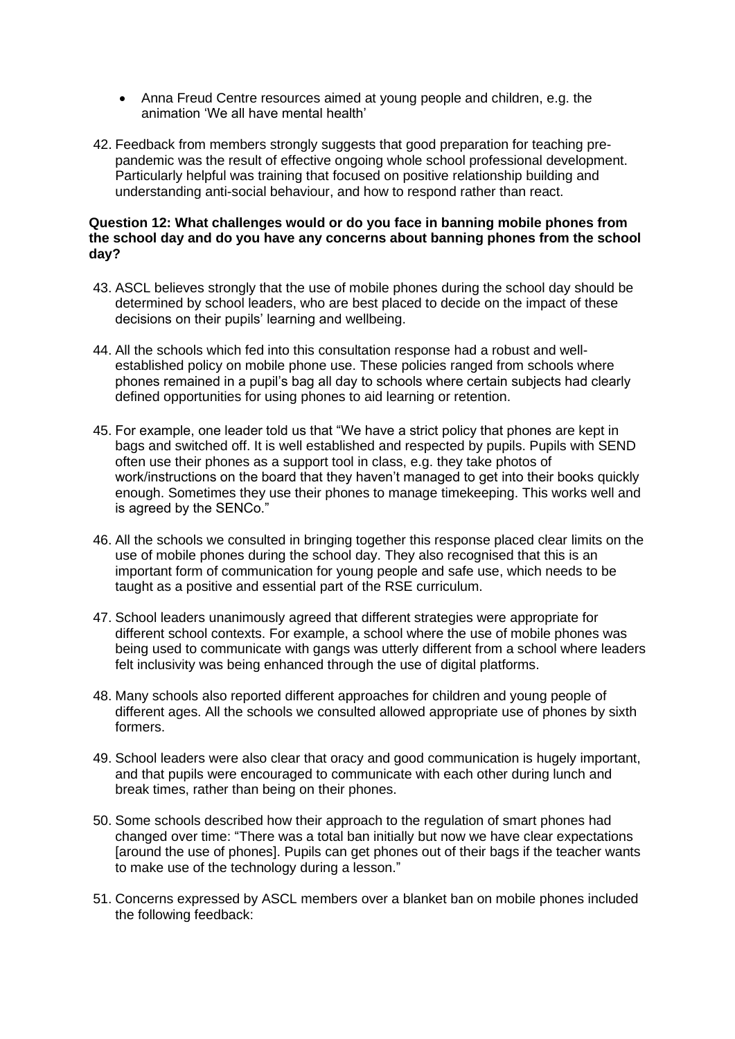- Anna Freud Centre resources aimed at young people and children, e.g. the animation 'We all have mental health'
- 42. Feedback from members strongly suggests that good preparation for teaching prepandemic was the result of effective ongoing whole school professional development. Particularly helpful was training that focused on positive relationship building and understanding anti-social behaviour, and how to respond rather than react.

#### **Question 12: What challenges would or do you face in banning mobile phones from the school day and do you have any concerns about banning phones from the school day?**

- 43. ASCL believes strongly that the use of mobile phones during the school day should be determined by school leaders, who are best placed to decide on the impact of these decisions on their pupils' learning and wellbeing.
- 44. All the schools which fed into this consultation response had a robust and wellestablished policy on mobile phone use. These policies ranged from schools where phones remained in a pupil's bag all day to schools where certain subjects had clearly defined opportunities for using phones to aid learning or retention.
- 45. For example, one leader told us that "We have a strict policy that phones are kept in bags and switched off. It is well established and respected by pupils. Pupils with SEND often use their phones as a support tool in class, e.g. they take photos of work/instructions on the board that they haven't managed to get into their books quickly enough. Sometimes they use their phones to manage timekeeping. This works well and is agreed by the SENCo."
- 46. All the schools we consulted in bringing together this response placed clear limits on the use of mobile phones during the school day. They also recognised that this is an important form of communication for young people and safe use, which needs to be taught as a positive and essential part of the RSE curriculum.
- 47. School leaders unanimously agreed that different strategies were appropriate for different school contexts. For example, a school where the use of mobile phones was being used to communicate with gangs was utterly different from a school where leaders felt inclusivity was being enhanced through the use of digital platforms.
- 48. Many schools also reported different approaches for children and young people of different ages. All the schools we consulted allowed appropriate use of phones by sixth formers.
- 49. School leaders were also clear that oracy and good communication is hugely important, and that pupils were encouraged to communicate with each other during lunch and break times, rather than being on their phones.
- 50. Some schools described how their approach to the regulation of smart phones had changed over time: "There was a total ban initially but now we have clear expectations [around the use of phones]. Pupils can get phones out of their bags if the teacher wants to make use of the technology during a lesson."
- 51. Concerns expressed by ASCL members over a blanket ban on mobile phones included the following feedback: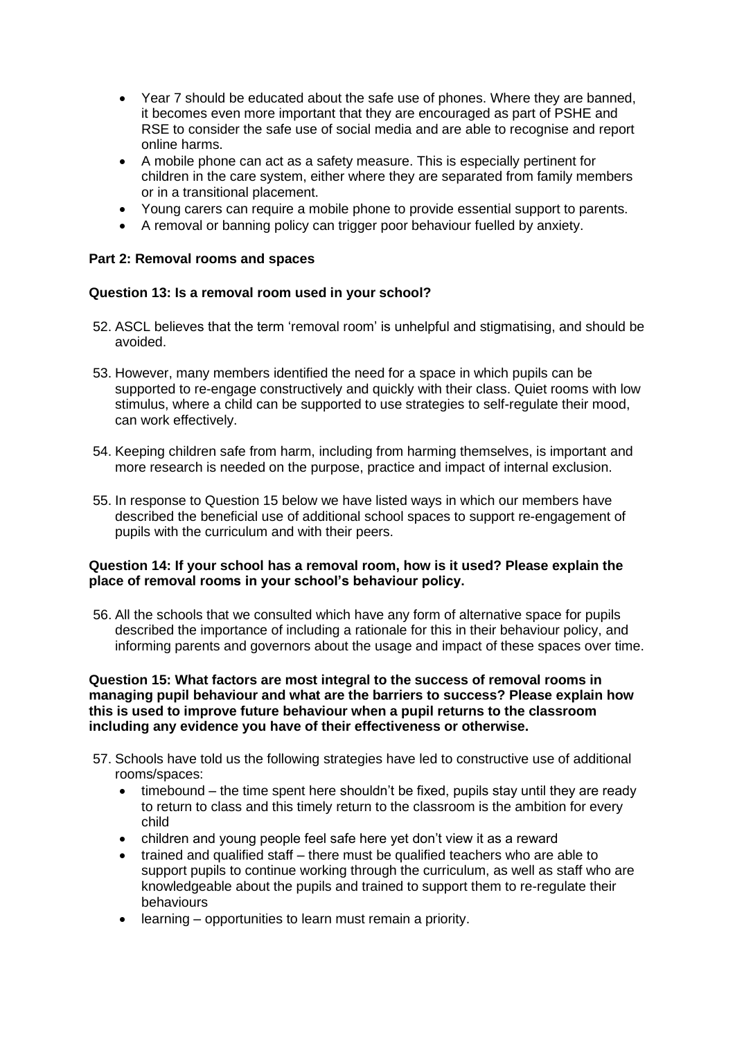- Year 7 should be educated about the safe use of phones. Where they are banned, it becomes even more important that they are encouraged as part of PSHE and RSE to consider the safe use of social media and are able to recognise and report online harms.
- A mobile phone can act as a safety measure. This is especially pertinent for children in the care system, either where they are separated from family members or in a transitional placement.
- Young carers can require a mobile phone to provide essential support to parents.
- A removal or banning policy can trigger poor behaviour fuelled by anxiety.

## **Part 2: Removal rooms and spaces**

#### **Question 13: Is a removal room used in your school?**

- 52. ASCL believes that the term 'removal room' is unhelpful and stigmatising, and should be avoided.
- 53. However, many members identified the need for a space in which pupils can be supported to re-engage constructively and quickly with their class. Quiet rooms with low stimulus, where a child can be supported to use strategies to self-regulate their mood, can work effectively.
- 54. Keeping children safe from harm, including from harming themselves, is important and more research is needed on the purpose, practice and impact of internal exclusion.
- 55. In response to Question 15 below we have listed ways in which our members have described the beneficial use of additional school spaces to support re-engagement of pupils with the curriculum and with their peers.

#### **Question 14: If your school has a removal room, how is it used? Please explain the place of removal rooms in your school's behaviour policy.**

56. All the schools that we consulted which have any form of alternative space for pupils described the importance of including a rationale for this in their behaviour policy, and informing parents and governors about the usage and impact of these spaces over time.

#### **Question 15: What factors are most integral to the success of removal rooms in managing pupil behaviour and what are the barriers to success? Please explain how this is used to improve future behaviour when a pupil returns to the classroom including any evidence you have of their effectiveness or otherwise.**

- 57. Schools have told us the following strategies have led to constructive use of additional rooms/spaces:
	- timebound the time spent here shouldn't be fixed, pupils stay until they are ready to return to class and this timely return to the classroom is the ambition for every child
	- children and young people feel safe here yet don't view it as a reward
	- trained and qualified staff there must be qualified teachers who are able to support pupils to continue working through the curriculum, as well as staff who are knowledgeable about the pupils and trained to support them to re-regulate their behaviours
	- learning opportunities to learn must remain a priority.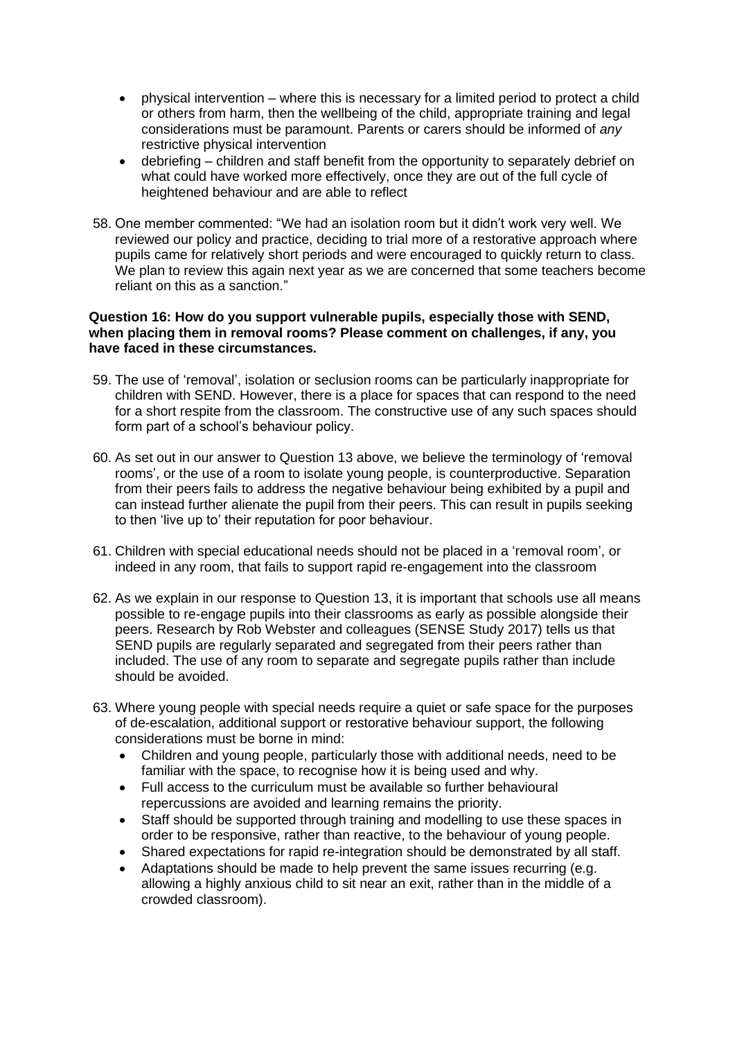- physical intervention where this is necessary for a limited period to protect a child or others from harm, then the wellbeing of the child, appropriate training and legal considerations must be paramount. Parents or carers should be informed of *any* restrictive physical intervention
- debriefing children and staff benefit from the opportunity to separately debrief on what could have worked more effectively, once they are out of the full cycle of heightened behaviour and are able to reflect
- 58. One member commented: "We had an isolation room but it didn't work very well. We reviewed our policy and practice, deciding to trial more of a restorative approach where pupils came for relatively short periods and were encouraged to quickly return to class. We plan to review this again next year as we are concerned that some teachers become reliant on this as a sanction."

#### **Question 16: How do you support vulnerable pupils, especially those with SEND, when placing them in removal rooms? Please comment on challenges, if any, you have faced in these circumstances.**

- 59. The use of 'removal', isolation or seclusion rooms can be particularly inappropriate for children with SEND. However, there is a place for spaces that can respond to the need for a short respite from the classroom. The constructive use of any such spaces should form part of a school's behaviour policy.
- 60. As set out in our answer to Question 13 above, we believe the terminology of 'removal rooms', or the use of a room to isolate young people, is counterproductive. Separation from their peers fails to address the negative behaviour being exhibited by a pupil and can instead further alienate the pupil from their peers. This can result in pupils seeking to then 'live up to' their reputation for poor behaviour.
- 61. Children with special educational needs should not be placed in a 'removal room', or indeed in any room, that fails to support rapid re-engagement into the classroom
- 62. As we explain in our response to Question 13, it is important that schools use all means possible to re-engage pupils into their classrooms as early as possible alongside their peers. Research by Rob Webster and colleagues (SENSE Study 2017) tells us that SEND pupils are regularly separated and segregated from their peers rather than included. The use of any room to separate and segregate pupils rather than include should be avoided.
- 63. Where young people with special needs require a quiet or safe space for the purposes of de-escalation, additional support or restorative behaviour support, the following considerations must be borne in mind:
	- Children and young people, particularly those with additional needs, need to be familiar with the space, to recognise how it is being used and why.
	- Full access to the curriculum must be available so further behavioural repercussions are avoided and learning remains the priority.
	- Staff should be supported through training and modelling to use these spaces in order to be responsive, rather than reactive, to the behaviour of young people.
	- Shared expectations for rapid re-integration should be demonstrated by all staff.
	- Adaptations should be made to help prevent the same issues recurring (e.g. allowing a highly anxious child to sit near an exit, rather than in the middle of a crowded classroom).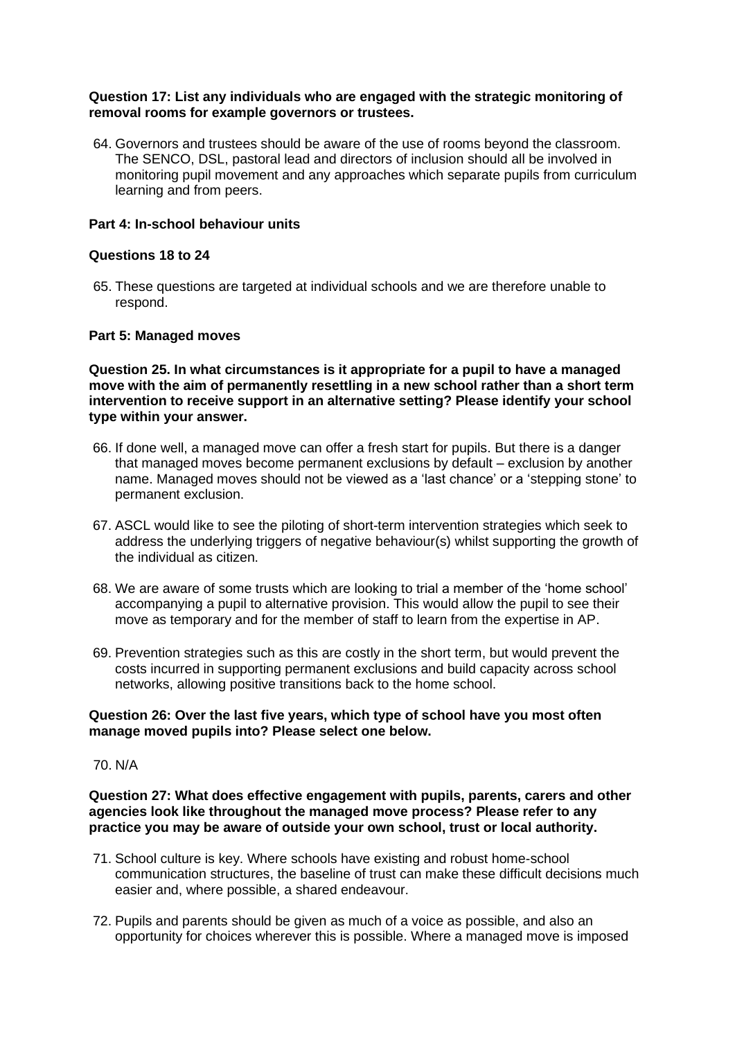#### **Question 17: List any individuals who are engaged with the strategic monitoring of removal rooms for example governors or trustees.**

64. Governors and trustees should be aware of the use of rooms beyond the classroom. The SENCO, DSL, pastoral lead and directors of inclusion should all be involved in monitoring pupil movement and any approaches which separate pupils from curriculum learning and from peers.

#### **Part 4: In-school behaviour units**

#### **Questions 18 to 24**

65. These questions are targeted at individual schools and we are therefore unable to respond.

#### **Part 5: Managed moves**

**Question 25. In what circumstances is it appropriate for a pupil to have a managed move with the aim of permanently resettling in a new school rather than a short term intervention to receive support in an alternative setting? Please identify your school type within your answer.** 

- 66. If done well, a managed move can offer a fresh start for pupils. But there is a danger that managed moves become permanent exclusions by default – exclusion by another name. Managed moves should not be viewed as a 'last chance' or a 'stepping stone' to permanent exclusion.
- 67. ASCL would like to see the piloting of short-term intervention strategies which seek to address the underlying triggers of negative behaviour(s) whilst supporting the growth of the individual as citizen.
- 68. We are aware of some trusts which are looking to trial a member of the 'home school' accompanying a pupil to alternative provision. This would allow the pupil to see their move as temporary and for the member of staff to learn from the expertise in AP.
- 69. Prevention strategies such as this are costly in the short term, but would prevent the costs incurred in supporting permanent exclusions and build capacity across school networks, allowing positive transitions back to the home school.

#### **Question 26: Over the last five years, which type of school have you most often manage moved pupils into? Please select one below.**

#### 70. N/A

**Question 27: What does effective engagement with pupils, parents, carers and other agencies look like throughout the managed move process? Please refer to any practice you may be aware of outside your own school, trust or local authority.** 

- 71. School culture is key. Where schools have existing and robust home-school communication structures, the baseline of trust can make these difficult decisions much easier and, where possible, a shared endeavour.
- 72. Pupils and parents should be given as much of a voice as possible, and also an opportunity for choices wherever this is possible. Where a managed move is imposed